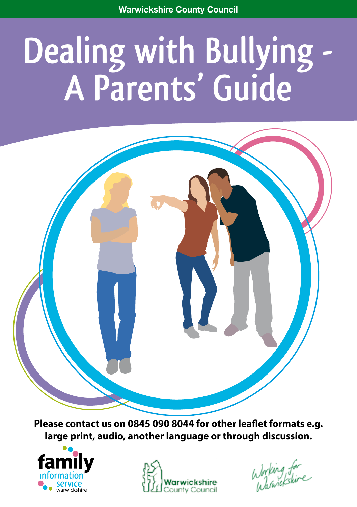# **Dealing with Bullying -<br>A Parents' Guide**

**Please contact us on 0845 090 8044 for other leaflet formats e.g. large print, audio, another language or through discussion.**





Working for<br>Warnickskire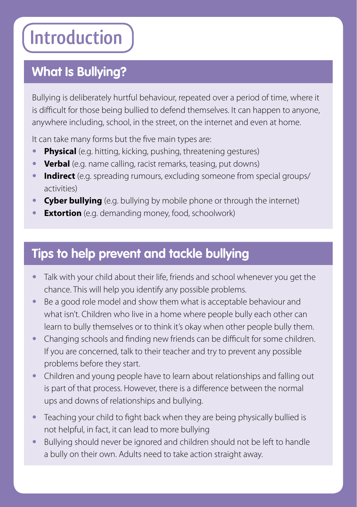# **Introduction**

# **What Is Bullying?**

**•**

Bullying is deliberately hurtful behaviour, repeated over a period of time, where it is difficult for those being bullied to defend themselves. It can happen to anyone, anywhere including, school, in the street, on the internet and even at home.

It can take many forms but the five main types are:

- **Physical** (e.g. hitting, kicking, pushing, threatening gestures)
- **• Verbal** (e.g. name calling, racist remarks, teasing, put downs)
- **• Indirect** (e.g. spreading rumours, excluding someone from special groups/ activities)
- **• Cyber bullying** (e.g. bullying by mobile phone or through the internet)
- **Extortion** (e.g. demanding money, food, schoolwork)

# **Tips to help prevent and tackle bullying**

- **•** Talk with your child about their life, friends and school whenever you get the chance. This will help you identify any possible problems.
- **•** Be a good role model and show them what is acceptable behaviour and what isn't. Children who live in a home where people bully each other can learn to bully themselves or to think it's okay when other people bully them.
- **•** Changing schools and finding new friends can be difficult for some children. If you are concerned, talk to their teacher and try to prevent any possible problems before they start.
- **•** Children and young people have to learn about relationships and falling out is part of that process. However, there is a difference between the normal ups and downs of relationships and bullying.
- **•** Teaching your child to fight back when they are being physically bullied is not helpful, in fact, it can lead to more bullying
- **•** Bullying should never be ignored and children should not be left to handle a bully on their own. Adults need to take action straight away.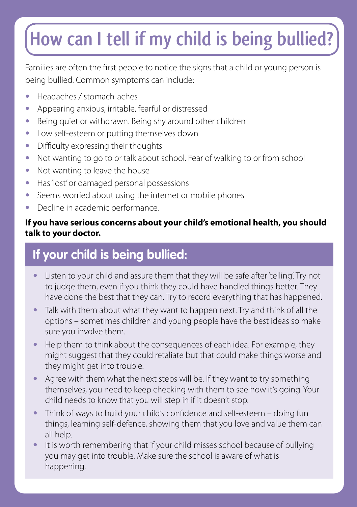# **How can I tell if my child is being bullied?**

Families are often the first people to notice the signs that a child or young person is being bullied. Common symptoms can include:

- **•** Headaches / stomach-aches
- **•** Appearing anxious, irritable, fearful or distressed
- **•** Being quiet or withdrawn. Being shy around other children
- **•** Low self-esteem or putting themselves down
- **•** Difficulty expressing their thoughts
- **•** Not wanting to go to or talk about school. Fear of walking to or from school
- **•** Not wanting to leave the house
- **•** Has 'lost' or damaged personal possessions
- **•** Seems worried about using the internet or mobile phones
- **•** Decline in academic performance.

### **If you have serious concerns about your child's emotional health, you should talk to your doctor.**

# **If your child is being bullied:**

- **•** Listen to your child and assure them that they will be safe after 'telling'. Try not to judge them, even if you think they could have handled things better. They have done the best that they can. Try to record everything that has happened.
- **•** Talk with them about what they want to happen next. Try and think of all the options – sometimes children and young people have the best ideas so make sure you involve them.
- **•** Help them to think about the consequences of each idea. For example, they might suggest that they could retaliate but that could make things worse and they might get into trouble.
- **•** Agree with them what the next steps will be. If they want to try something themselves, you need to keep checking with them to see how it's going. Your child needs to know that you will step in if it doesn't stop.
- **•** Think of ways to build your child's confidence and self-esteem doing fun things, learning self-defence, showing them that you love and value them can all help.
- **•** It is worth remembering that if your child misses school because of bullying you may get into trouble. Make sure the school is aware of what is happening.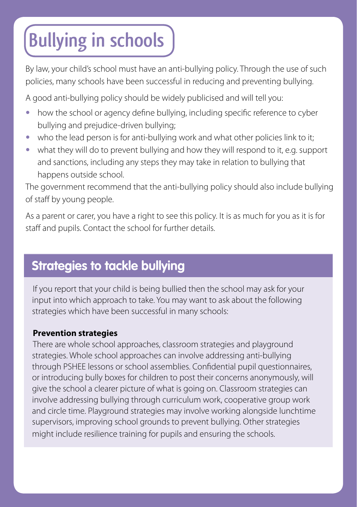# **Bullying in schools**

By law, your child's school must have an anti-bullying policy. Through the use of such policies, many schools have been successful in reducing and preventing bullying.

A good anti-bullying policy should be widely publicised and will tell you:

- how the school or agency define bullying, including specific reference to cyber bullying and prejudice-driven bullying;
- who the lead person is for anti-bullying work and what other policies link to it;
- **•** what they will do to prevent bullying and how they will respond to it, e.g. support and sanctions, including any steps they may take in relation to bullying that happens outside school.

The government recommend that the anti-bullying policy should also include bullying of staff by young people.

As a parent or carer, you have a right to see this policy. It is as much for you as it is for staff and pupils. Contact the school for further details.

# **Strategies to tackle bullying**

If you report that your child is being bullied then the school may ask for your input into which approach to take. You may want to ask about the following strategies which have been successful in many schools:

### **Prevention strategies**

**•**

There are whole school approaches, classroom strategies and playground strategies. Whole school approaches can involve addressing anti-bullying through PSHEE lessons or school assemblies. Confidential pupil questionnaires, or introducing bully boxes for children to post their concerns anonymously, will give the school a clearer picture of what is going on. Classroom strategies can involve addressing bullying through curriculum work, cooperative group work and circle time. Playground strategies may involve working alongside lunchtime supervisors, improving school grounds to prevent bullying. Other strategies might include resilience training for pupils and ensuring the schools.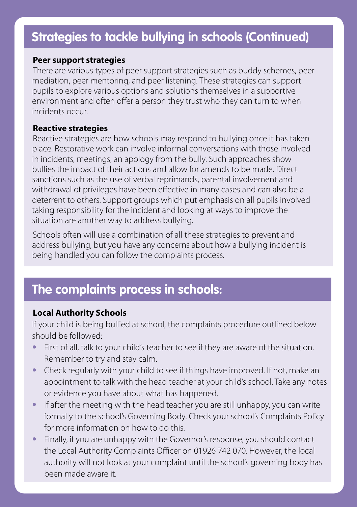### **Strategies to tackle bullying in schools (Continued)**

#### **Peer support strategies**

There are various types of peer support strategies such as buddy schemes, peer mediation, peer mentoring, and peer listening. These strategies can support pupils to explore various options and solutions themselves in a supportive environment and often offer a person they trust who they can turn to when incidents occur.

#### **Reactive strategies**

Reactive strategies are how schools may respond to bullying once it has taken place. Restorative work can involve informal conversations with those involved in incidents, meetings, an apology from the bully. Such approaches show bullies the impact of their actions and allow for amends to be made. Direct sanctions such as the use of verbal reprimands, parental involvement and withdrawal of privileges have been effective in many cases and can also be a deterrent to others. Support groups which put emphasis on all pupils involved taking responsibility for the incident and looking at ways to improve the situation are another way to address bullying.

Schools often will use a combination of all these strategies to prevent and address bullying, but you have any concerns about how a bullying incident is being handled you can follow the complaints process.

### **The complaints process in schools:**

#### **Local Authority Schools**

**•**

If your child is being bullied at school, the complaints procedure outlined below should be followed:

- **•** First of all, talk to your child's teacher to see if they are aware of the situation. Remember to try and stay calm.
- **•** Check regularly with your child to see if things have improved. If not, make an appointment to talk with the head teacher at your child's school. Take any notes or evidence you have about what has happened.
- **•** If after the meeting with the head teacher you are still unhappy, you can write formally to the school's Governing Body. Check your school's Complaints Policy for more information on how to do this.
- **•** Finally, if you are unhappy with the Governor's response, you should contact the Local Authority Complaints Officer on 01926 742 070. However, the local authority will not look at your complaint until the school's governing body has been made aware it.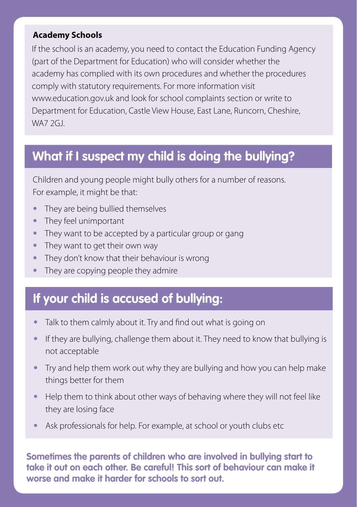#### **Academy Schools**

If the school is an academy, you need to contact the Education Funding Agency (part of the Department for Education) who will consider whether the academy has complied with its own procedures and whether the procedures comply with statutory requirements. For more information visit www.education.gov.uk and look for school complaints section or write to Department for Education, Castle View House, East Lane, Runcorn, Cheshire, WA7 2GJ.

## **What if I suspect my child is doing the bullying?**

Children and young people might bully others for a number of reasons. For example, it might be that:

- **•** They are being bullied themselves
- **•** They feel unimportant
- **•** They want to be accepted by a particular group or gang
- **•** They want to get their own way
- **•** They don't know that their behaviour is wrong
- **•** They are copying people they admire

### **If your child is accused of bullying:**

- **•** Talk to them calmly about it. Try and find out what is going on
- **•** If they are bullying, challenge them about it. They need to know that bullying is not acceptable
- **•** Try and help them work out why they are bullying and how you can help make things better for them
- **•** Help them to think about other ways of behaving where they will not feel like they are losing face
- **•** Ask professionals for help. For example, at school or youth clubs etc

**Sometimes the parents of children who are involved in bullying start to take it out on each other. Be careful! This sort of behaviour can make it worse and make it harder for schools to sort out.**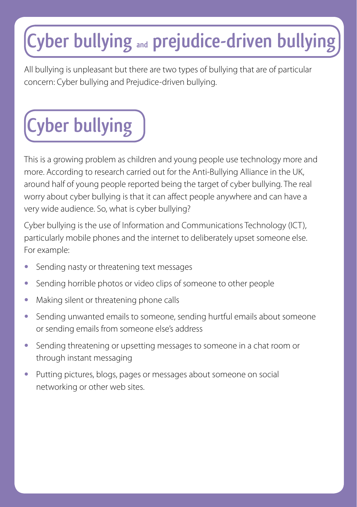# **Cyber bullying and prejudice-driven bullying**

All bullying is unpleasant but there are two types of bullying that are of particular concern: Cyber bullying and Prejudice-driven bullying.

# **Cyber bullying**

This is a growing problem as children and young people use technology more and more. According to research carried out for the Anti-Bullying Alliance in the UK, around half of young people reported being the target of cyber bullying. The real worry about cyber bullying is that it can affect people anywhere and can have a very wide audience. So, what is cyber bullying?

Cyber bullying is the use of Information and Communications Technology (ICT), particularly mobile phones and the internet to deliberately upset someone else. For example:

- **•** Sending nasty or threatening text messages
- **•** Sending horrible photos or video clips of someone to other people
- Making silent or threatening phone calls
- **•** Sending unwanted emails to someone, sending hurtful emails about someone or sending emails from someone else's address
- **•** Sending threatening or upsetting messages to someone in a chat room or through instant messaging
- **•** Putting pictures, blogs, pages or messages about someone on social networking or other web sites.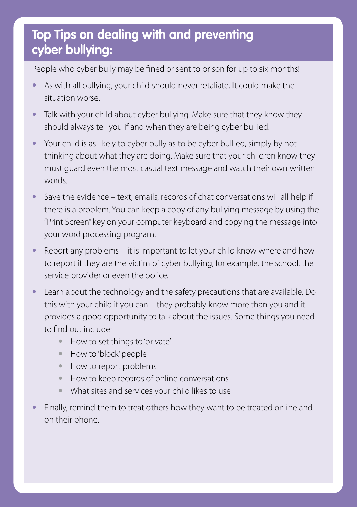# **• Top Tips on dealing with and preventing cyber bullying:**

People who cyber bully may be fined or sent to prison for up to six months!

- **•** As with all bullying, your child should never retaliate, It could make the situation worse.
- **•** Talk with your child about cyber bullying. Make sure that they know they should always tell you if and when they are being cyber bullied.
- **•** Your child is as likely to cyber bully as to be cyber bullied, simply by not thinking about what they are doing. Make sure that your children know they must guard even the most casual text message and watch their own written words.
- **•** Save the evidence text, emails, records of chat conversations will all help if there is a problem. You can keep a copy of any bullying message by using the "Print Screen" key on your computer keyboard and copying the message into your word processing program.
- **•** Report any problems it is important to let your child know where and how to report if they are the victim of cyber bullying, for example, the school, the service provider or even the police.
- **•** Learn about the technology and the safety precautions that are available. Do this with your child if you can – they probably know more than you and it provides a good opportunity to talk about the issues. Some things you need to find out include:
	- **•** How to set things to 'private'
	- **•** How to 'block' people
	- **•** How to report problems
	- **•** How to keep records of online conversations
	- **•** What sites and services your child likes to use
- **•** Finally, remind them to treat others how they want to be treated online and on their phone.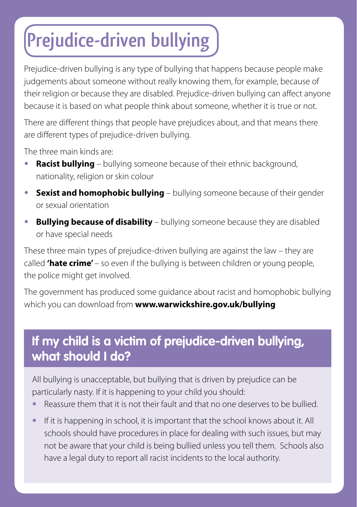# **Prejudice-driven bullying**

Prejudice-driven bullying is any type of bullying that happens because people make judgements about someone without really knowing them, for example, because of their religion or because they are disabled. Prejudice-driven bullying can affect anyone because it is based on what people think about someone, whether it is true or not.

There are different things that people have prejudices about, and that means there are different types of prejudice-driven bullying.

The three main kinds are:

**•**

- **• Racist bullying** bullying someone because of their ethnic background, nationality, religion or skin colour
- **• Sexist and homophobic bullying** bullying someone because of their gender or sexual orientation
- **• Bullying because of disability** bullying someone because they are disabled or have special needs

These three main types of prejudice-driven bullying are against the law – they are called **'hate crime'** – so even if the bullying is between children or young people, the police might get involved.

The government has produced some guidance about racist and homophobic bullying which you can download from **www.warwickshire.gov.uk/bullying**

# **If my child is a victim of prejudice-driven bullying, what should I do?**

All bullying is unacceptable, but bullying that is driven by prejudice can be particularly nasty. If it is happening to your child you should:

- **•** Reassure them that it is not their fault and that no one deserves to be bullied.
- **•** If it is happening in school, it is important that the school knows about it. All schools should have procedures in place for dealing with such issues, but may not be aware that your child is being bullied unless you tell them. Schools also have a legal duty to report all racist incidents to the local authority.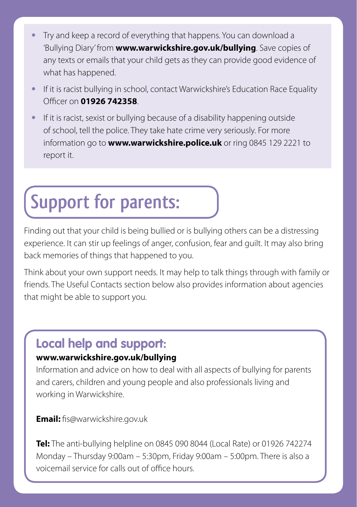- **•** Try and keep a record of everything that happens. You can download a 'Bullying Diary' from **www.warwickshire.gov.uk/bullying**. Save copies of any texts or emails that your child gets as they can provide good evidence of what has happened.
- **•** If it is racist bullying in school, contact Warwickshire's Education Race Equality Officer on **01926 742358**.
- **•** If it is racist, sexist or bullying because of a disability happening outside of school, tell the police. They take hate crime very seriously. For more information go to **www.warwickshire.police.uk** or ring 0845 129 2221 to report it.

# **Support for parents:**

Finding out that your child is being bullied or is bullying others can be a distressing experience. It can stir up feelings of anger, confusion, fear and guilt. It may also bring back memories of things that happened to you.

Think about your own support needs. It may help to talk things through with family or friends. The Useful Contacts section below also provides information about agencies that might be able to support you.

# **Local help and support:**

### **www.warwickshire.gov.uk/bullying**

Information and advice on how to deal with all aspects of bullying for parents and carers, children and young people and also professionals living and working in Warwickshire.

**Email:** fis@warwickshire.gov.uk

**Tel:** The anti-bullying helpline on 0845 090 8044 (Local Rate) or 01926 742274 Monday – Thursday 9:00am – 5:30pm, Friday 9:00am – 5:00pm. There is also a voicemail service for calls out of office hours.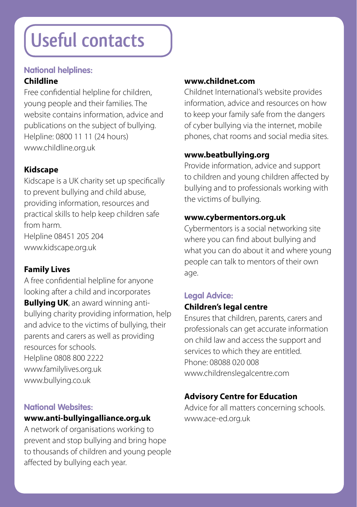# **Useful contacts**

#### **National helplines:**

#### **Childline**

Free confidential helpline for children, young people and their families. The website contains information, advice and publications on the subject of bullying. Helpline: 0800 11 11 (24 hours) www.childline.org.uk

### **Kidscape**

Kidscape is a UK charity set up specifically to prevent bullying and child abuse, providing information, resources and practical skills to help keep children safe from harm. Helpline 08451 205 204

www.kidscape.org.uk

### **Family Lives**

A free confidential helpline for anyone looking after a child and incorporates **Bullying UK**, an award winning antibullying charity providing information, help and advice to the victims of bullying, their parents and carers as well as providing resources for schools. Helpline 0808 800 2222 www.familylives.org.uk www.bullying.co.uk

#### **National Websites:**

### **www.anti-bullyingalliance.org.uk**

A network of organisations working to prevent and stop bullying and bring hope to thousands of children and young people affected by bullying each year.

### **www.childnet.com**

Childnet International's website provides information, advice and resources on how to keep your family safe from the dangers of cyber bullying via the internet, mobile phones, chat rooms and social media sites.

### **www.beatbullying.org**

Provide information, advice and support to children and young children affected by bullying and to professionals working with the victims of bullying.

### **www.cybermentors.org.uk**

Cybermentors is a social networking site where you can find about bullying and what you can do about it and where young people can talk to mentors of their own age.

# **Legal Advice:**

### **Children's legal centre**

Ensures that children, parents, carers and professionals can get accurate information on child law and access the support and services to which they are entitled. Phone: 08088 020 008 www.childrenslegalcentre.com

### **Advisory Centre for Education**

Advice for all matters concerning schools. www.ace-ed.org.uk